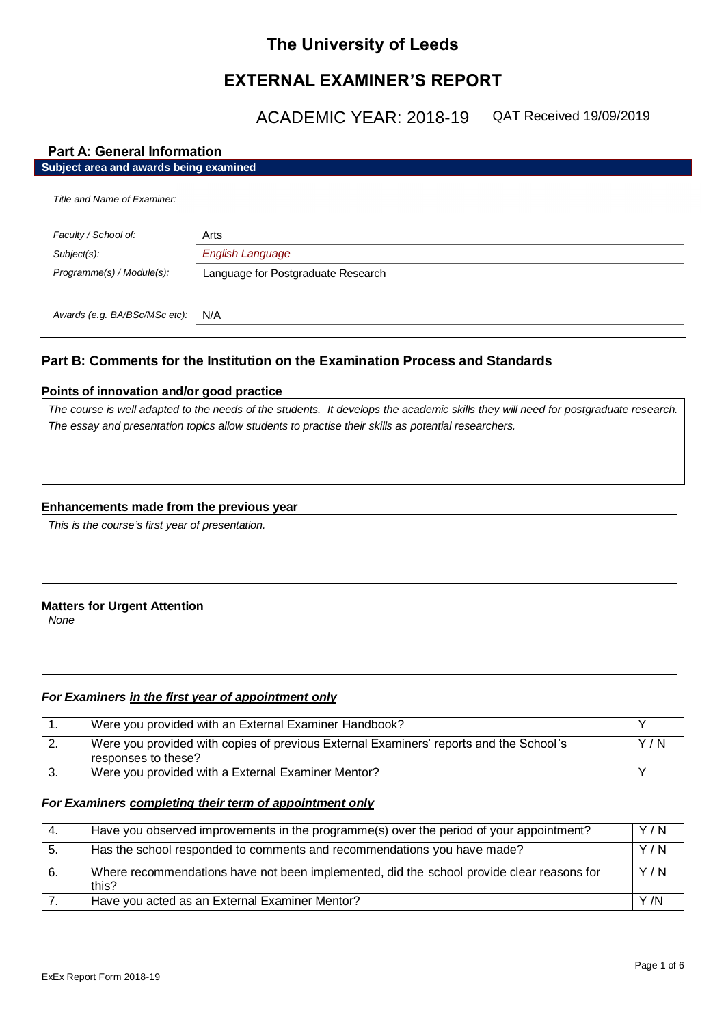# **The University of Leeds**

# **EXTERNAL EXAMINER'S REPORT**

ACADEMIC YEAR: 2018-19 QAT Received 19/09/2019

## **Part A: General Information**

| Subject area and awards being examined |                                    |  |
|----------------------------------------|------------------------------------|--|
| Title and Name of Examiner:            |                                    |  |
| Faculty / School of:                   | Arts                               |  |
| Subject(s):                            | <b>English Language</b>            |  |
| Programme(s) / Module(s):              | Language for Postgraduate Research |  |
|                                        |                                    |  |
| Awards (e.g. BA/BSc/MSc etc):          | N/A                                |  |

# **Part B: Comments for the Institution on the Examination Process and Standards**

## **Points of innovation and/or good practice**

*The course is well adapted to the needs of the students. It develops the academic skills they will need for postgraduate research. The essay and presentation topics allow students to practise their skills as potential researchers.*

#### **Enhancements made from the previous year**

*This is the course's first year of presentation.*

## **Matters for Urgent Attention**

*None*

#### *For Examiners in the first year of appointment only*

| Were you provided with an External Examiner Handbook?                                                         |     |
|---------------------------------------------------------------------------------------------------------------|-----|
| Were you provided with copies of previous External Examiners' reports and the School's<br>responses to these? | Y/N |
| Were you provided with a External Examiner Mentor?                                                            |     |

#### *For Examiners completing their term of appointment only*

| -4. | Have you observed improvements in the programme(s) over the period of your appointment?            | Y/N |
|-----|----------------------------------------------------------------------------------------------------|-----|
| -5. | Has the school responded to comments and recommendations you have made?                            | Y/N |
| 6.  | Where recommendations have not been implemented, did the school provide clear reasons for<br>this? | Y/N |
|     | Have you acted as an External Examiner Mentor?                                                     | Y/N |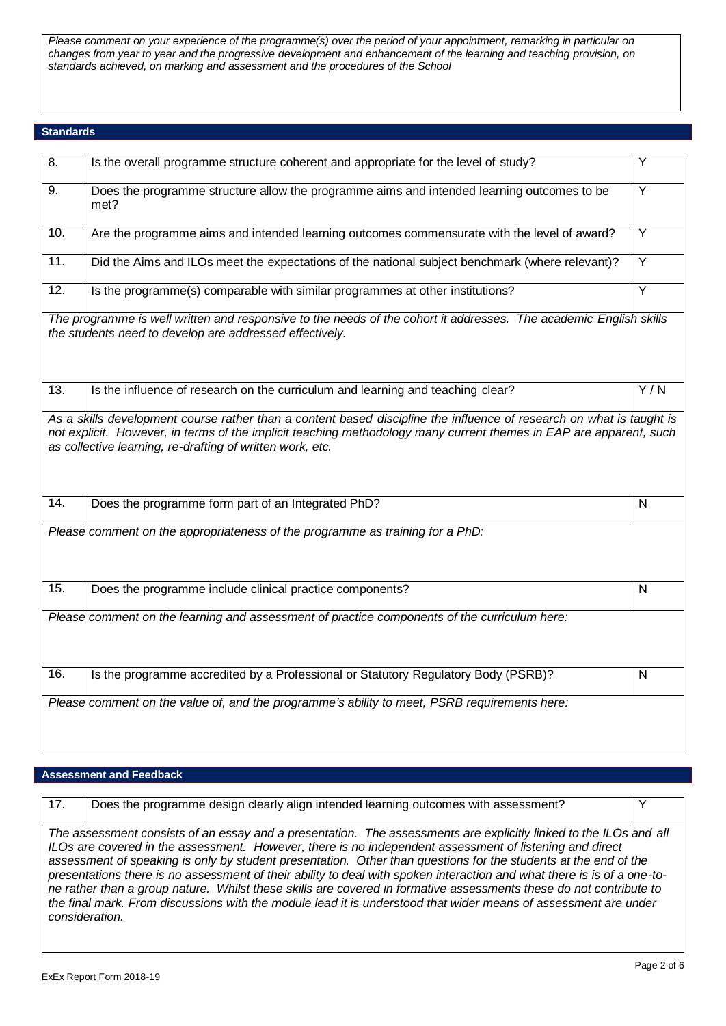*Please comment on your experience of the programme(s) over the period of your appointment, remarking in particular on changes from year to year and the progressive development and enhancement of the learning and teaching provision, on standards achieved, on marking and assessment and the procedures of the School*

#### **Standards**

| $\overline{8}$ .  | Is the overall programme structure coherent and appropriate for the level of study?                                                                                          | $\overline{Y}$   |
|-------------------|------------------------------------------------------------------------------------------------------------------------------------------------------------------------------|------------------|
| 9.                | Does the programme structure allow the programme aims and intended learning outcomes to be<br>met?                                                                           | Y                |
| 10.               | Are the programme aims and intended learning outcomes commensurate with the level of award?                                                                                  | Y                |
| 11.               | Did the Aims and ILOs meet the expectations of the national subject benchmark (where relevant)?                                                                              | Y                |
| $\overline{12}$ . | Is the programme(s) comparable with similar programmes at other institutions?                                                                                                | Ÿ                |
|                   | The programme is well written and responsive to the needs of the cohort it addresses. The academic English skills<br>the students need to develop are addressed effectively. |                  |
| 13.               | Is the influence of research on the curriculum and learning and teaching clear?                                                                                              | $\overline{Y/N}$ |
|                   | as collective learning, re-drafting of written work, etc.                                                                                                                    |                  |
| 14.               | Does the programme form part of an Integrated PhD?                                                                                                                           | N                |
|                   | Please comment on the appropriateness of the programme as training for a PhD:                                                                                                |                  |
| 15.               | Does the programme include clinical practice components?                                                                                                                     | $\mathsf{N}$     |
|                   | Please comment on the learning and assessment of practice components of the curriculum here:                                                                                 |                  |
| 16.               | Is the programme accredited by a Professional or Statutory Regulatory Body (PSRB)?                                                                                           | $\mathsf{N}$     |
|                   | Please comment on the value of, and the programme's ability to meet, PSRB requirements here:                                                                                 |                  |

### **Assessment and Feedback**

| 17.                                                                                                                     | Does the programme design clearly align intended learning outcomes with assessment?                                | $\checkmark$ |
|-------------------------------------------------------------------------------------------------------------------------|--------------------------------------------------------------------------------------------------------------------|--------------|
|                                                                                                                         |                                                                                                                    |              |
| The assessment consists of an essay and a presentation. The assessments are explicitly linked to the ILOs and all       |                                                                                                                    |              |
| ILOs are covered in the assessment. However, there is no independent assessment of listening and direct                 |                                                                                                                    |              |
| assessment of speaking is only by student presentation. Other than questions for the students at the end of the         |                                                                                                                    |              |
| presentations there is no assessment of their ability to deal with spoken interaction and what there is is of a one-to- |                                                                                                                    |              |
|                                                                                                                         | ne rather than a group nature. Whilst these skills are covered in formative assessments these do not contribute to |              |
|                                                                                                                         | the final mark. From discussions with the module lead it is understood that wider means of assessment are under    |              |
|                                                                                                                         | consideration.                                                                                                     |              |
|                                                                                                                         |                                                                                                                    |              |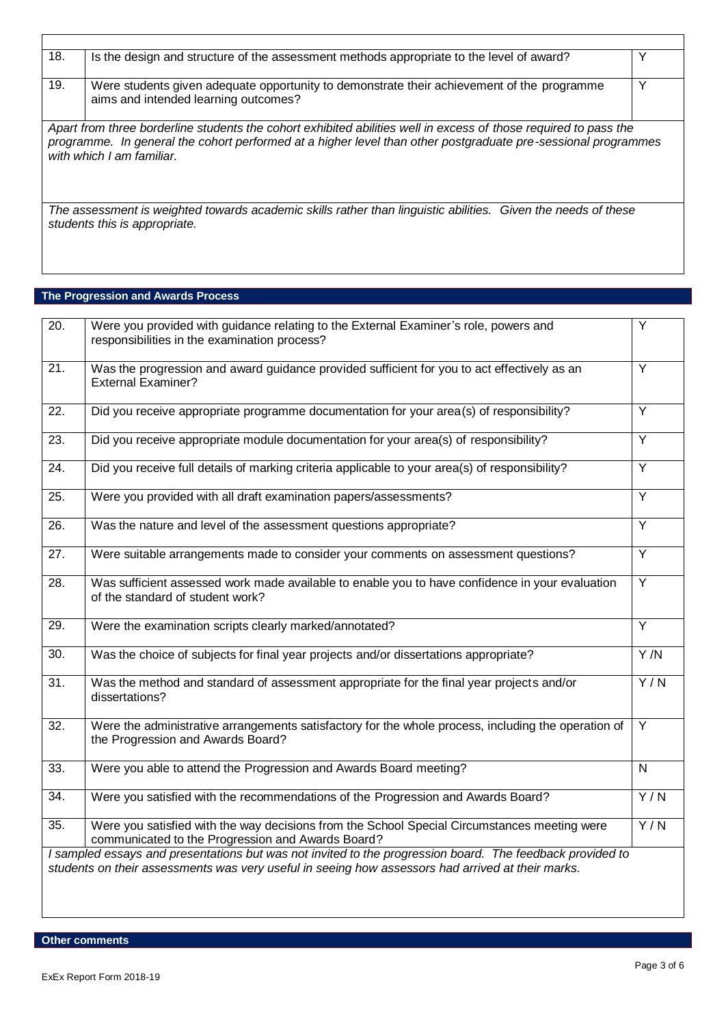| 18. | Is the design and structure of the assessment methods appropriate to the level of award?                                                                                                                                                                       | v |
|-----|----------------------------------------------------------------------------------------------------------------------------------------------------------------------------------------------------------------------------------------------------------------|---|
| 19. | Were students given adequate opportunity to demonstrate their achievement of the programme<br>aims and intended learning outcomes?                                                                                                                             | Υ |
|     | Apart from three borderline students the cohort exhibited abilities well in excess of those required to pass the<br>programme. In general the cohort performed at a higher level than other postgraduate pre-sessional programmes<br>with which I am familiar. |   |
|     | The assessment is weighted towards academic skills rather than linguistic abilities. Given the needs of these<br>students this is appropriate.                                                                                                                 |   |

## **The Progression and Awards Process**

 $\mathbf{r}$ 

| $\overline{20}$ . | Were you provided with guidance relating to the External Examiner's role, powers and<br>responsibilities in the examination process?                                                                           | Υ              |
|-------------------|----------------------------------------------------------------------------------------------------------------------------------------------------------------------------------------------------------------|----------------|
| $\overline{21}$ . | Was the progression and award guidance provided sufficient for you to act effectively as an<br><b>External Examiner?</b>                                                                                       | $\overline{Y}$ |
| 22.               | Did you receive appropriate programme documentation for your area(s) of responsibility?                                                                                                                        | $\overline{Y}$ |
| $\overline{23}$ . | Did you receive appropriate module documentation for your area(s) of responsibility?                                                                                                                           | $\overline{Y}$ |
| 24.               | Did you receive full details of marking criteria applicable to your area(s) of responsibility?                                                                                                                 | $\overline{Y}$ |
| 25.               | Were you provided with all draft examination papers/assessments?                                                                                                                                               | Y              |
| $\overline{26}$ . | Was the nature and level of the assessment questions appropriate?                                                                                                                                              | $\overline{Y}$ |
| 27.               | Were suitable arrangements made to consider your comments on assessment questions?                                                                                                                             | $\overline{Y}$ |
| 28.               | Was sufficient assessed work made available to enable you to have confidence in your evaluation<br>of the standard of student work?                                                                            | $\overline{Y}$ |
| 29.               | Were the examination scripts clearly marked/annotated?                                                                                                                                                         | $\overline{Y}$ |
| $\overline{30}$ . | Was the choice of subjects for final year projects and/or dissertations appropriate?                                                                                                                           | Y/N            |
| $\overline{31}$ . | Was the method and standard of assessment appropriate for the final year projects and/or<br>dissertations?                                                                                                     | Y/N            |
| $\overline{32}$ . | Were the administrative arrangements satisfactory for the whole process, including the operation of<br>the Progression and Awards Board?                                                                       | $\overline{Y}$ |
| 33.               | Were you able to attend the Progression and Awards Board meeting?                                                                                                                                              | $\mathsf{N}$   |
| 34.               | Were you satisfied with the recommendations of the Progression and Awards Board?                                                                                                                               | Y/N            |
| 35.               | Were you satisfied with the way decisions from the School Special Circumstances meeting were<br>communicated to the Progression and Awards Board?                                                              | Y/N            |
|                   | I sampled essays and presentations but was not invited to the progression board. The feedback provided to<br>students on their assessments was very useful in seeing how assessors had arrived at their marks. |                |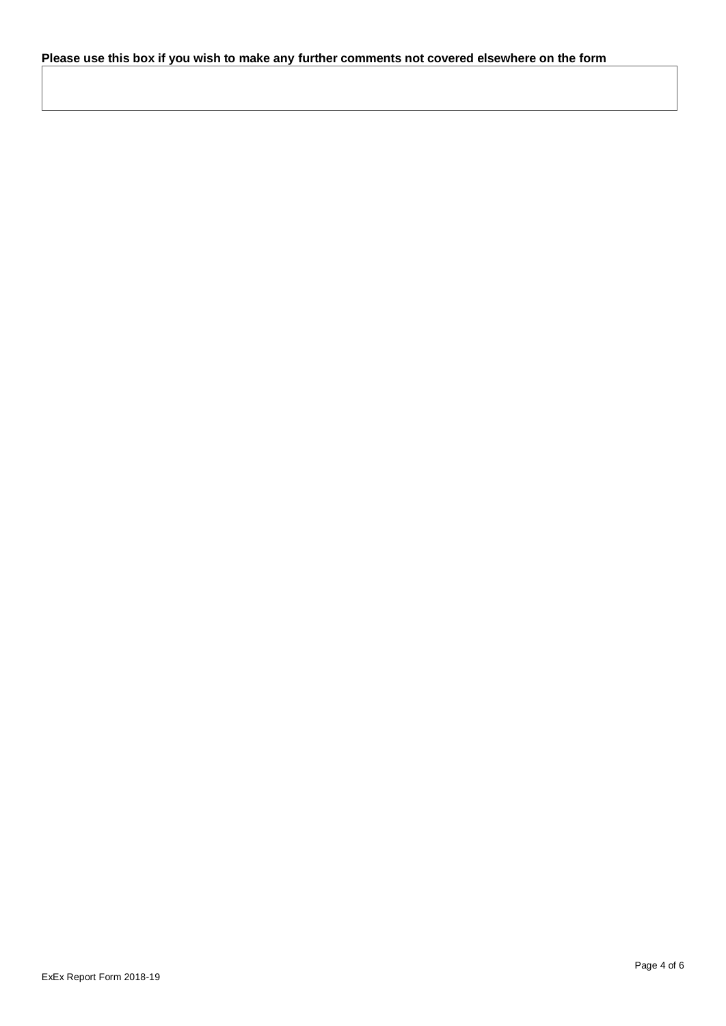# **Please use this box if you wish to make any further comments not covered elsewhere on the form**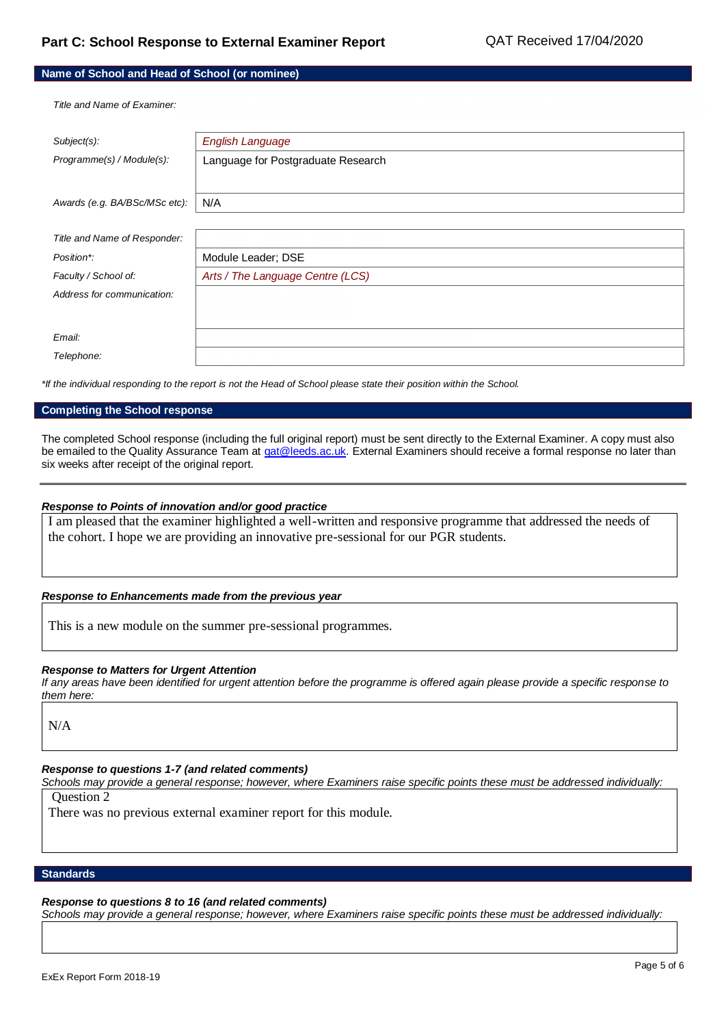#### **Name of School and Head of School (or nominee)**

*Title and Name of Examiner:*

| Subject(s):                   | <b>English Language</b>            |
|-------------------------------|------------------------------------|
| Programme(s) / Module(s):     | Language for Postgraduate Research |
|                               |                                    |
|                               |                                    |
| Awards (e.g. BA/BSc/MSc etc): | N/A                                |
|                               |                                    |
| Title and Name of Responder:  |                                    |
| Position*:                    | Module Leader; DSE                 |
| Faculty / School of:          | Arts / The Language Centre (LCS)   |
| Address for communication:    |                                    |
|                               |                                    |
|                               |                                    |
| Email:                        |                                    |
| Telephone:                    |                                    |

*\*If the individual responding to the report is not the Head of School please state their position within the School.*

#### **Completing the School response**

The completed School response (including the full original report) must be sent directly to the External Examiner. A copy must also be emailed to the Quality Assurance Team a[t qat@leeds.ac.uk.](mailto:qat@leeds.ac.uk) External Examiners should receive a formal response no later than six weeks after receipt of the original report.

#### *Response to Points of innovation and/or good practice*

I am pleased that the examiner highlighted a well-written and responsive programme that addressed the needs of the cohort. I hope we are providing an innovative pre-sessional for our PGR students.

#### *Response to Enhancements made from the previous year*

This is a new module on the summer pre-sessional programmes.

#### *Response to Matters for Urgent Attention*

*If any areas have been identified for urgent attention before the programme is offered again please provide a specific response to them here:*

N/A

#### *Response to questions 1-7 (and related comments)*

*Schools may provide a general response; however, where Examiners raise specific points these must be addressed individually:*

Question 2

There was no previous external examiner report for this module.

#### **Standards**

#### *Response to questions 8 to 16 (and related comments)*

*Schools may provide a general response; however, where Examiners raise specific points these must be addressed individually:*